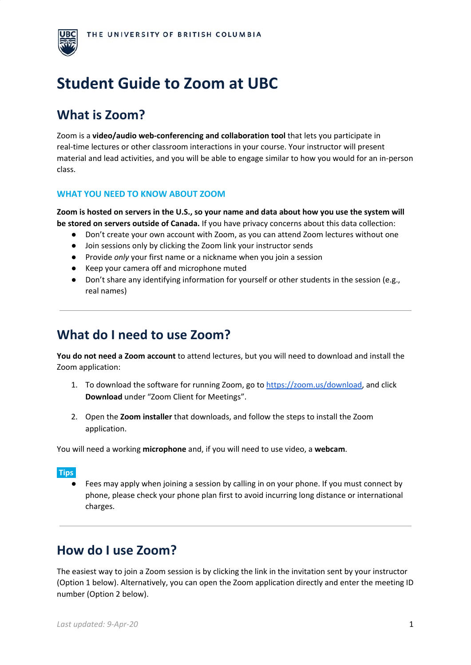

# **Student Guide to Zoom at UBC**

# **What is Zoom?**

Zoom is a **video/audio web-conferencing and collaboration tool** that lets you participate in real-time lectures or other classroom interactions in your course. Your instructor will present material and lead activities, and you will be able to engage similar to how you would for an in-person class.

# **WHAT YOU NEED TO KNOW ABOUT ZOOM**

Zoom is hosted on servers in the U.S., so your name and data about how you use the system will **be stored on servers outside of Canada.** If you have privacy concerns about this data collection:

- Don't create your own account with Zoom, as you can attend Zoom lectures without one
- Join sessions only by clicking the Zoom link your instructor sends
- Provide *only* your first name or a nickname when you join a session
- Keep your camera off and microphone muted
- Don't share any identifying information for yourself or other students in the session (e.g., real names)

# **What do I need to use Zoom?**

**You do not need a Zoom account** to attend lectures, but you will need to download and install the Zoom application:

- 1. To download the software for running Zoom, go to [https://zoom.us/download,](https://zoom.us/download) and click **Download** under "Zoom Client for Meetings".
- 2. Open the **Zoom installer** that downloads, and follow the steps to install the Zoom application.

You will need a working **microphone** and, if you will need to use video, a **webcam**.

## **Tips:**

Fees may apply when joining a session by calling in on your phone. If you must connect by phone, please check your phone plan first to avoid incurring long distance or international charges.

# **How do I use Zoom?**

The easiest way to join a Zoom session is by clicking the link in the invitation sent by your instructor (Option 1 below). Alternatively, you can open the Zoom application directly and enter the meeting ID number (Option 2 below).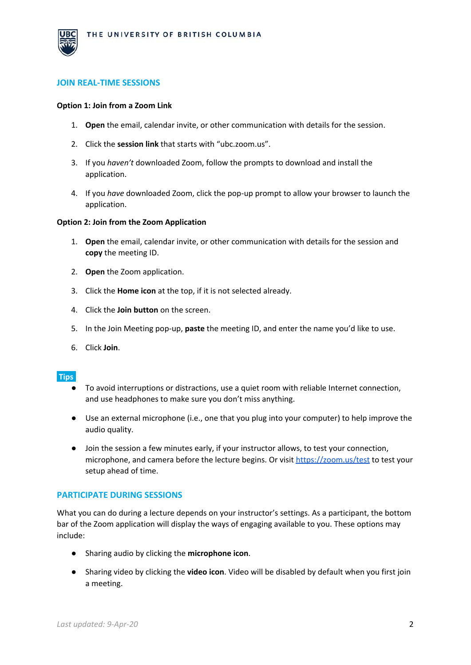

## **JOIN REAL-TIME SESSIONS**

#### **Option 1: Join from a Zoom Link**

- 1. **Open** the email, calendar invite, or other communication with details for the session.
- 2. Click the **session link** that starts with "ubc.zoom.us".
- 3. If you *haven't* downloaded Zoom, follow the prompts to download and install the application.
- 4. If you *have* downloaded Zoom, click the pop-up prompt to allow your browser to launch the application.

#### **Option 2: Join from the Zoom Application**

- 1. **Open** the email, calendar invite, or other communication with details for the session and **copy** the meeting ID.
- 2. **Open** the Zoom application.
- 3. Click the **Home icon** at the top, if it is not selected already.
- 4. Click the **Join button** on the screen.
- 5. In the Join Meeting pop-up, **paste** the meeting ID, and enter the name you'd like to use.
- 6. Click **Join**.

#### **Tips:**

- To avoid interruptions or distractions, use a quiet room with reliable Internet connection, and use headphones to make sure you don't miss anything.
- Use an external microphone (i.e., one that you plug into your computer) to help improve the audio quality.
- Join the session a few minutes early, if your instructor allows, to test your connection, microphone, and camera before the lecture begins. Or visit <https://zoom.us/test> to test your setup ahead of time.

#### **PARTICIPATE DURING SESSIONS**

What you can do during a lecture depends on your instructor's settings. As a participant, the bottom bar of the Zoom application will display the ways of engaging available to you. These options may include:

- Sharing audio by clicking the **microphone icon**.
- Sharing video by clicking the **video icon**. Video will be disabled by default when you first join a meeting.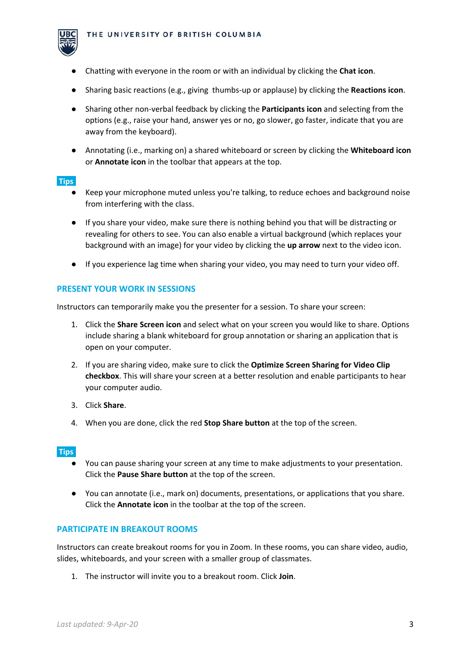

- Chatting with everyone in the room or with an individual by clicking the **Chat icon**.
- Sharing basic reactions (e.g., giving thumbs-up or applause) by clicking the **Reactions icon**.
- Sharing other non-verbal feedback by clicking the **Participants icon** and selecting from the options (e.g., raise your hand, answer yes or no, go slower, go faster, indicate that you are away from the keyboard).
- Annotating (i.e., marking on) a shared whiteboard or screen by clicking the **Whiteboard icon** or **Annotate icon** in the toolbar that appears at the top.

## **Tips:**

- Keep your microphone muted unless you're talking, to reduce echoes and background noise from interfering with the class.
- If you share your video, make sure there is nothing behind you that will be distracting or revealing for others to see. You can also enable a virtual background (which replaces your background with an image) for your video by clicking the **up arrow** next to the video icon.
- If you experience lag time when sharing your video, you may need to turn your video off.

# **PRESENT YOUR WORK IN SESSIONS**

Instructors can temporarily make you the presenter for a session. To share your screen:

- 1. Click the **Share Screen icon** and select what on your screen you would like to share. Options include sharing a blank whiteboard for group annotation or sharing an application that is open on your computer.
- 2. If you are sharing video, make sure to click the **Optimize Screen Sharing for Video Clip checkbox**. This will share your screen at a better resolution and enable participants to hear your computer audio.
- 3. Click **Share**.
- 4. When you are done, click the red **Stop Share button** at the top of the screen.

## **Tips:**

- You can pause sharing your screen at any time to make adjustments to your presentation. Click the **Pause Share button** at the top of the screen.
- You can annotate (i.e., mark on) documents, presentations, or applications that you share. Click the **Annotate icon** in the toolbar at the top of the screen.

## **PARTICIPATE IN BREAKOUT ROOMS**

Instructors can create breakout rooms for you in Zoom. In these rooms, you can share video, audio, slides, whiteboards, and your screen with a smaller group of classmates.

1. The instructor will invite you to a breakout room. Click **Join**.